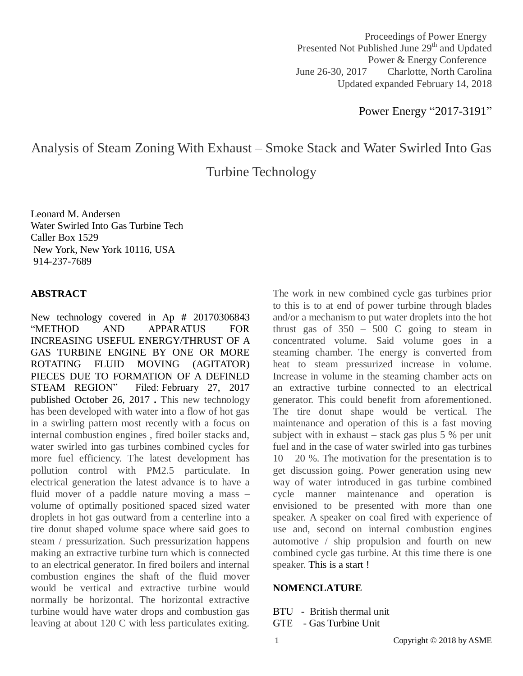Proceedings of Power Energy Presented Not Published June 29<sup>th</sup> and Updated Power & Energy Conference June 26-30, 2017 Charlotte, North Carolina Updated expanded February 14, 2018

Power Energy "2017-3191"

# Analysis of Steam Zoning With Exhaust – Smoke Stack and Water Swirled Into Gas

Turbine Technology

Leonard M. Andersen Water Swirled Into Gas Turbine Tech Caller Box 1529 New York, New York 10116, USA 914-237-7689

#### **ABSTRACT**

New technology covered in Ap **#** 20170306843 "METHOD AND APPARATUS FOR INCREASING USEFUL ENERGY/THRUST OF A GAS TURBINE ENGINE BY ONE OR MORE ROTATING FLUID MOVING (AGITATOR) PIECES DUE TO FORMATION OF A DEFINED STEAM REGION" Filed: February 27, 2017 published October 26, 2017 **.** This new technology has been developed with water into a flow of hot gas in a swirling pattern most recently with a focus on internal combustion engines , fired boiler stacks and, water swirled into gas turbines combined cycles for more fuel efficiency. The latest development has pollution control with PM2.5 particulate. In electrical generation the latest advance is to have a fluid mover of a paddle nature moving a mass – volume of optimally positioned spaced sized water droplets in hot gas outward from a centerline into a tire donut shaped volume space where said goes to steam / pressurization. Such pressurization happens making an extractive turbine turn which is connected to an electrical generator. In fired boilers and internal combustion engines the shaft of the fluid mover would be vertical and extractive turbine would normally be horizontal. The horizontal extractive turbine would have water drops and combustion gas leaving at about 120 C with less particulates exiting.

The work in new combined cycle gas turbines prior to this is to at end of power turbine through blades and/or a mechanism to put water droplets into the hot thrust gas of  $350 - 500$  C going to steam in concentrated volume. Said volume goes in a steaming chamber. The energy is converted from heat to steam pressurized increase in volume. Increase in volume in the steaming chamber acts on an extractive turbine connected to an electrical generator. This could benefit from aforementioned. The tire donut shape would be vertical. The maintenance and operation of this is a fast moving subject with in exhaust  $-$  stack gas plus 5 % per unit fuel and in the case of water swirled into gas turbines  $10 - 20$  %. The motivation for the presentation is to get discussion going. Power generation using new way of water introduced in gas turbine combined cycle manner maintenance and operation is envisioned to be presented with more than one speaker. A speaker on coal fired with experience of use and, second on internal combustion engines automotive / ship propulsion and fourth on new combined cycle gas turbine. At this time there is one speaker. This is a start !

#### **NOMENCLATURE**

BTU - British thermal unit GTE - Gas Turbine Unit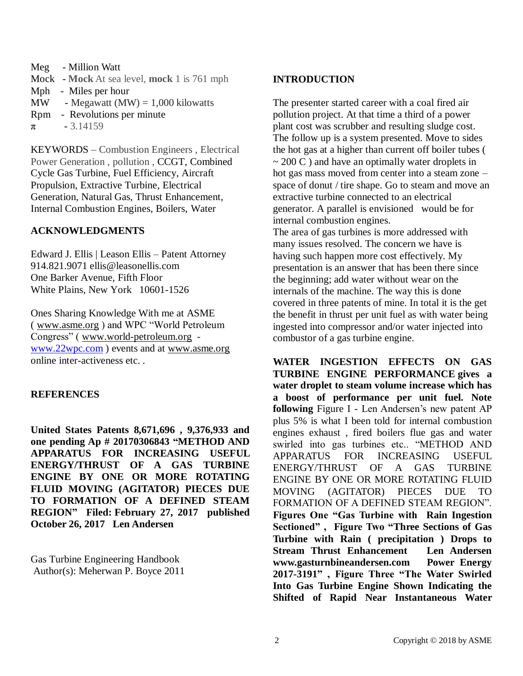- Meg Million Watt
- Mock **Mock** At sea level, **mock** 1 is 761 mph
- Mph Miles per hour
- MW Megawatt (MW) =  $1,000$  kilowatts
- Rpm Revolutions per minute
- $\pi$  3.14159

KEYWORDS – Combustion Engineers , Electrical Power Generation , pollution , CCGT, Combined Cycle Gas Turbine, Fuel Efficiency, Aircraft Propulsion, Extractive Turbine, Electrical Generation, Natural Gas, Thrust Enhancement, Internal Combustion Engines, Boilers, Water

#### **ACKNOWLEDGMENTS**

Edward J. Ellis | Leason Ellis – Patent Attorney 914.821.9071 ellis@leasonellis.com One Barker Avenue, Fifth Floor White Plains, New York 10601-1526

Ones Sharing Knowledge With me at ASME ( [www.asme.org](http://www.asme.org/) ) and WPC "World Petroleum Congress" ( [www.world-petroleum.org](http://www.world-petroleum.org/) [www.22wpc.com](http://www.22wpc.com/) ) events and at [www.asme.org](http://www.asme.org/) online inter-activeness etc. *.*

#### **REFERENCES**

**United States Patents 8,671,696 , 9,376,933 and one pending Ap # 20170306843 "METHOD AND APPARATUS FOR INCREASING USEFUL ENERGY/THRUST OF A GAS TURBINE ENGINE BY ONE OR MORE ROTATING FLUID MOVING (AGITATOR) PIECES DUE TO FORMATION OF A DEFINED STEAM REGION" Filed: February 27, 2017 published October 26, 2017 Len Andersen**

Gas Turbine Engineering Handbook Author(s): Meherwan P. Boyce 2011

#### **INTRODUCTION**

The presenter started career with a coal fired air pollution project. At that time a third of a power plant cost was scrubber and resulting sludge cost. The follow up is a system presented. Move to sides the hot gas at a higher than current off boiler tubes (  $\sim$  200 C) and have an optimally water droplets in hot gas mass moved from center into a steam zone – space of donut / tire shape. Go to steam and move an extractive turbine connected to an electrical generator. A parallel is envisioned would be for internal combustion engines.

The area of gas turbines is more addressed with many issues resolved. The concern we have is having such happen more cost effectively. My presentation is an answer that has been there since the beginning; add water without wear on the internals of the machine. The way this is done covered in three patents of mine. In total it is the get the benefit in thrust per unit fuel as with water being ingested into compressor and/or water injected into combustor of a gas turbine engine.

**WATER INGESTION EFFECTS ON GAS TURBINE ENGINE PERFORMANCE gives a water droplet to steam volume increase which has a boost of performance per unit fuel. Note following** Figure I - Len Andersen's new patent AP plus 5% is what I been told for internal combustion engines exhaust , fired boilers flue gas and water swirled into gas turbines etc.. "METHOD AND APPARATUS FOR INCREASING USEFUL ENERGY/THRUST OF A GAS TURBINE ENGINE BY ONE OR MORE ROTATING FLUID MOVING (AGITATOR) PIECES DUE TO FORMATION OF A DEFINED STEAM REGION". **Figures One "Gas Turbine with Rain Ingestion Sectioned" , Figure Two "Three Sections of Gas Turbine with Rain ( precipitation ) Drops to Stream Thrust Enhancement Len Andersen www.gasturnbineandersen.com Power Energy 2017-3191" , Figure Three "The Water Swirled Into Gas Turbine Engine Shown Indicating the Shifted of Rapid Near Instantaneous Water**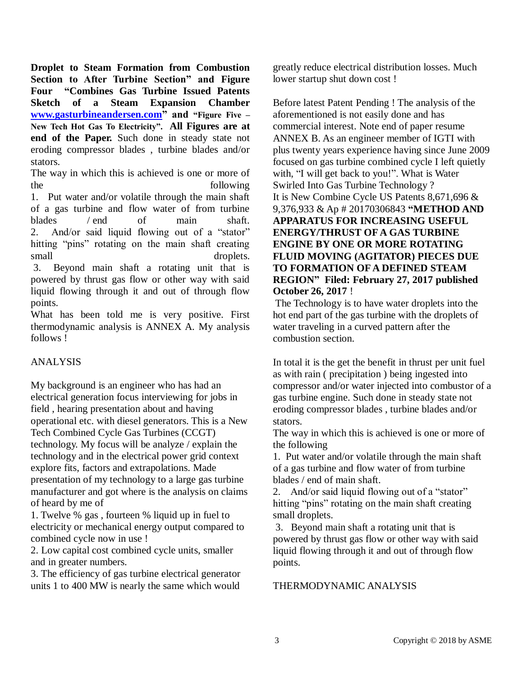**Droplet to Steam Formation from Combustion Section to After Turbine Section" and Figure Four "Combines Gas Turbine Issued Patents Sketch of a Steam Expansion Chamber [www.gasturbineandersen.com"](http://www.gasturbineandersen.com/) and "Figure Five – New Tech Hot Gas To Electricity". All Figures are at end of the Paper.** Such done in steady state not eroding compressor blades , turbine blades and/or stators.

The way in which this is achieved is one or more of the following 1. Put water and/or volatile through the main shaft of a gas turbine and flow water of from turbine blades / end of main shaft. 2. And/or said liquid flowing out of a "stator" hitting "pins" rotating on the main shaft creating small droplets. 3. Beyond main shaft a rotating unit that is powered by thrust gas flow or other way with said

liquid flowing through it and out of through flow points.

What has been told me is very positive. First thermodynamic analysis is ANNEX A. My analysis follows !

## ANALYSIS

My background is an engineer who has had an electrical generation focus interviewing for jobs in field , hearing presentation about and having operational etc. with diesel generators. This is a New Tech Combined Cycle Gas Turbines (CCGT) technology. My focus will be analyze / explain the technology and in the electrical power grid context explore fits, factors and extrapolations. Made presentation of my technology to a large gas turbine manufacturer and got where is the analysis on claims of heard by me of

1. Twelve % gas , fourteen % liquid up in fuel to electricity or mechanical energy output compared to combined cycle now in use !

2. Low capital cost combined cycle units, smaller and in greater numbers.

3. The efficiency of gas turbine electrical generator units 1 to 400 MW is nearly the same which would

greatly reduce electrical distribution losses. Much lower startup shut down cost !

Before latest Patent Pending ! The analysis of the aforementioned is not easily done and has commercial interest. Note end of paper resume ANNEX B. As an engineer member of IGTI with plus twenty years experience having since June 2009 focused on gas turbine combined cycle I left quietly with, "I will get back to you!". What is Water Swirled Into Gas Turbine Technology ? It is New Combine Cycle US Patents 8,671,696 & 9,376,933 & Ap # 20170306843 **"METHOD AND APPARATUS FOR INCREASING USEFUL ENERGY/THRUST OF A GAS TURBINE ENGINE BY ONE OR MORE ROTATING FLUID MOVING (AGITATOR) PIECES DUE TO FORMATION OF A DEFINED STEAM REGION" Filed: February 27, 2017 published October 26, 2017** !

The Technology is to have water droplets into the hot end part of the gas turbine with the droplets of water traveling in a curved pattern after the combustion section.

In total it is the get the benefit in thrust per unit fuel as with rain ( precipitation ) being ingested into compressor and/or water injected into combustor of a gas turbine engine. Such done in steady state not eroding compressor blades , turbine blades and/or stators.

The way in which this is achieved is one or more of the following

1. Put water and/or volatile through the main shaft of a gas turbine and flow water of from turbine blades / end of main shaft.

2. And/or said liquid flowing out of a "stator" hitting "pins" rotating on the main shaft creating small droplets.

3. Beyond main shaft a rotating unit that is powered by thrust gas flow or other way with said liquid flowing through it and out of through flow points.

#### THERMODYNAMIC ANALYSIS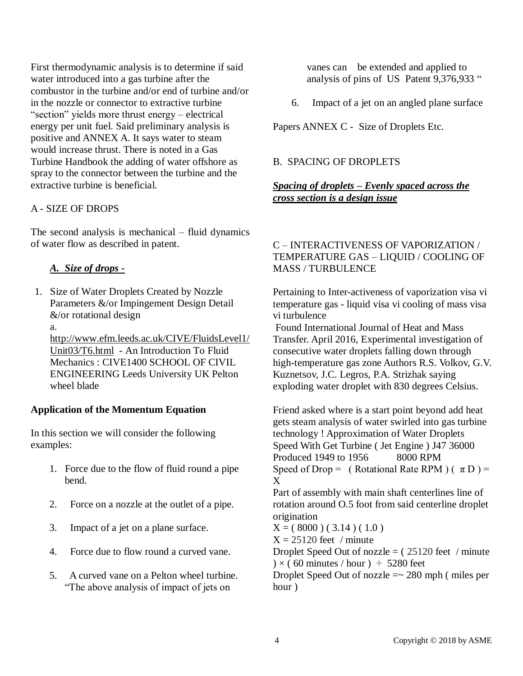First thermodynamic analysis is to determine if said water introduced into a gas turbine after the combustor in the turbine and/or end of turbine and/or in the nozzle or connector to extractive turbine "section" yields more thrust energy – electrical energy per unit fuel. Said preliminary analysis is positive and ANNEX A. It says water to steam would increase thrust. There is noted in a Gas Turbine Handbook the adding of water offshore as spray to the connector between the turbine and the extractive turbine is beneficial.

#### A - SIZE OF DROPS

The second analysis is mechanical – fluid dynamics of water flow as described in patent.

#### *A. Size of drops -*

- 1. Size of Water Droplets Created by Nozzle Parameters &/or Impingement Design Detail &/or rotational design
	- a.

[http://www.efm.leeds.ac.uk/CIVE/FluidsLevel1/](http://hostingemail.xo.com/hwebmail/services/go.php?url=http%3A%2F%2Fwww.efm.leeds.ac.uk%2FCIVE%2FFluidsLevel1%2FUnit03%2FT6.html) [Unit03/T6.html](http://hostingemail.xo.com/hwebmail/services/go.php?url=http%3A%2F%2Fwww.efm.leeds.ac.uk%2FCIVE%2FFluidsLevel1%2FUnit03%2FT6.html) - An Introduction To Fluid Mechanics : CIVE1400 SCHOOL OF CIVIL ENGINEERING Leeds University UK Pelton wheel blade

#### **Application of the Momentum Equation**

In this section we will consider the following examples:

- 1. Force due to the flow of fluid round a pipe bend.
- 2. Force on a nozzle at the outlet of a pipe.
- 3. Impact of a jet on a plane surface.
- 4. Force due to flow round a curved vane.
- 5. A curved vane on a Pelton wheel turbine. "The above analysis of impact of jets on

vanes can be extended and applied to analysis of pins of US Patent 9,376,933 "

6. Impact of a jet on an angled plane surface

Papers ANNEX C - Size of Droplets Etc.

#### B. SPACING OF DROPLETS

#### *Spacing of droplets – Evenly spaced across the cross section is a design issue*

#### C – INTERACTIVENESS OF VAPORIZATION / TEMPERATURE GAS – LIQUID / COOLING OF MASS / TURBULENCE

Pertaining to Inter-activeness of vaporization visa vi temperature gas - liquid visa vi cooling of mass visa vi turbulence

Found International Journal of Heat and Mass Transfer. April 2016, Experimental investigation of consecutive water droplets falling down through high-temperature gas zone Authors R.S. Volkov, G.V. Kuznetsov, J.C. Legros, P.A. Strizhak saying exploding water droplet with 830 degrees Celsius.

Friend asked where is a start point beyond add heat gets steam analysis of water swirled into gas turbine technology ! Approximation of Water Droplets Speed With Get Turbine ( Jet Engine ) J47 36000 Produced 1949 to 1956 8000 RPM Speed of Drop = ( Rotational Rate RPM )  $(\pi D)$  = X

Part of assembly with main shaft centerlines line of rotation around O.5 foot from said centerline droplet origination

 $X = (8000) (3.14) (1.0)$ 

 $X = 25120$  feet / minute

Droplet Speed Out of nozzle  $=$  (25120 feet / minute  $\rightarrow$  × (60 minutes / hour ) ÷ 5280 feet

Droplet Speed Out of nozzle  $=\sim 280$  mph (miles per hour )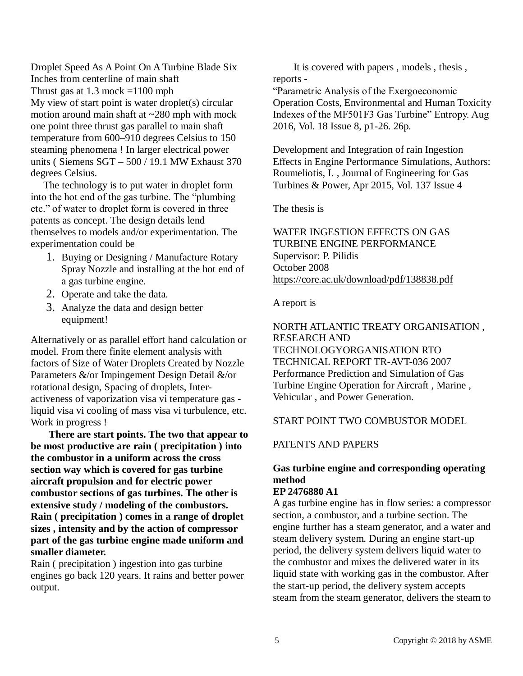Droplet Speed As A Point On A Turbine Blade Six Inches from centerline of main shaft Thrust gas at  $1.3$  mock =1100 mph My view of start point is water droplet(s) circular motion around main shaft at  $\sim$ 280 mph with mock one point three thrust gas parallel to main shaft temperature from 600–910 degrees Celsius to 150 steaming phenomena ! In larger electrical power units ( Siemens SGT – 500 / 19.1 MW Exhaust 370 degrees Celsius.

 The technology is to put water in droplet form into the hot end of the gas turbine. The "plumbing etc." of water to droplet form is covered in three patents as concept. The design details lend themselves to models and/or experimentation. The experimentation could be

- 1. Buying or Designing / Manufacture Rotary Spray Nozzle and installing at the hot end of a gas turbine engine.
- 2. Operate and take the data.
- 3. Analyze the data and design better equipment!

Alternatively or as parallel effort hand calculation or model. From there finite element analysis with factors of Size of Water Droplets Created by Nozzle Parameters &/or Impingement Design Detail &/or rotational design, Spacing of droplets, Interactiveness of vaporization visa vi temperature gas liquid visa vi cooling of mass visa vi turbulence, etc. Work in progress !

 **There are start points. The two that appear to be most productive are rain ( precipitation ) into the combustor in a uniform across the cross section way which is covered for gas turbine aircraft propulsion and for electric power combustor sections of gas turbines. The other is extensive study / modeling of the combustors. Rain ( precipitation ) comes in a range of droplet sizes , intensity and by the action of compressor part of the gas turbine engine made uniform and smaller diameter.** 

Rain ( precipitation ) ingestion into gas turbine engines go back 120 years. It rains and better power output.

 It is covered with papers , models , thesis , reports -

"Parametric Analysis of the Exergoeconomic Operation Costs, Environmental and Human Toxicity Indexes of the MF501F3 Gas Turbine" Entropy. Aug 2016, Vol. 18 Issue 8, p1-26. 26p.

Development and Integration of rain Ingestion Effects in Engine Performance Simulations, Authors: Roumeliotis, I. , Journal of Engineering for Gas Turbines & Power, Apr 2015, Vol. 137 Issue 4

The thesis is

WATER INGESTION EFFECTS ON GAS TURBINE ENGINE PERFORMANCE Supervisor: P. Pilidis October 2008 [https://core.ac.uk/download/pdf/138838.pdf](http://hostingemail.xo.com/hwebmail/services/go.php?url=https%3A%2F%2Fcore.ac.uk%2Fdownload%2Fpdf%2F138838.pdf)

A report is

NORTH ATLANTIC TREATY ORGANISATION , RESEARCH AND TECHNOLOGYORGANISATION RTO TECHNICAL REPORT TR-AVT-036 2007 Performance Prediction and Simulation of Gas Turbine Engine Operation for Aircraft , Marine , Vehicular , and Power Generation.

#### START POINT TWO COMBUSTOR MODEL

#### PATENTS AND PAPERS

## **Gas turbine engine and corresponding operating method**

#### **EP 2476880 A1**

A gas turbine engine has in flow series: a compressor section, a combustor, and a turbine section. The engine further has a steam generator, and a water and steam delivery system. During an engine start-up period, the delivery system delivers liquid water to the combustor and mixes the delivered water in its liquid state with working gas in the combustor. After the start-up period, the delivery system accepts steam from the steam generator, delivers the steam to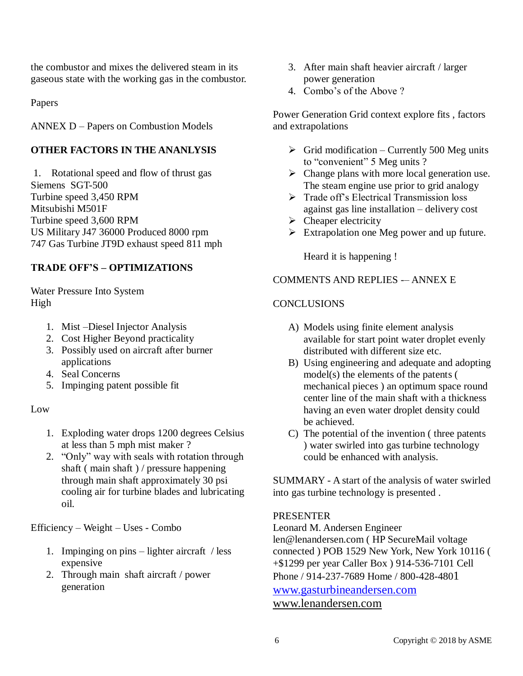the combustor and mixes the delivered steam in its gaseous state with the working gas in the combustor.

Papers

ANNEX D – Papers on Combustion Models

#### **OTHER FACTORS IN THE ANANLYSIS**

1. Rotational speed and flow of thrust gas Siemens SGT-500 Turbine speed 3,450 RPM Mitsubishi M501F Turbine speed 3,600 RPM US Military J47 36000 Produced 8000 rpm 747 Gas Turbine JT9D exhaust speed 811 mph

#### **TRADE OFF'S – OPTIMIZATIONS**

Water Pressure Into System High

- 1. Mist –Diesel Injector Analysis
- 2. Cost Higher Beyond practicality
- 3. Possibly used on aircraft after burner applications
- 4. Seal Concerns
- 5. Impinging patent possible fit

#### Low

- 1. Exploding water drops 1200 degrees Celsius at less than 5 mph mist maker ?
- 2. "Only" way with seals with rotation through shaft ( main shaft ) / pressure happening through main shaft approximately 30 psi cooling air for turbine blades and lubricating oil.

Efficiency – Weight – Uses - Combo

- 1. Impinging on pins lighter aircraft / less expensive
- 2. Through main shaft aircraft / power generation
- 3. After main shaft heavier aircraft / larger power generation
- 4. Combo's of the Above ?

Power Generation Grid context explore fits , factors and extrapolations

- $\triangleright$  Grid modification Currently 500 Meg units to "convenient" 5 Meg units ?
- $\triangleright$  Change plans with more local generation use. The steam engine use prior to grid analogy
- $\triangleright$  Trade off's Electrical Transmission loss against gas line installation – delivery cost
- $\triangleright$  Cheaper electricity
- Extrapolation one Meg power and up future.

Heard it is happening !

#### COMMENTS AND REPLIES -– ANNEX E

#### **CONCLUSIONS**

- A) Models using finite element analysis available for start point water droplet evenly distributed with different size etc.
- B) Using engineering and adequate and adopting model(s) the elements of the patents ( mechanical pieces ) an optimum space round center line of the main shaft with a thickness having an even water droplet density could be achieved.
- C) The potential of the invention ( three patents ) water swirled into gas turbine technology could be enhanced with analysis.

SUMMARY - A start of the analysis of water swirled into gas turbine technology is presented .

#### PRESENTER

Leonard M. Andersen Engineer len@lenandersen.com ( HP SecureMail voltage connected ) POB 1529 New York, New York 10116 ( +\$1299 per year Caller Box ) 914-536-7101 Cell Phone / 914-237-7689 Home / 800-428-4801 [www.gasturbineandersen.com](http://www.gasturbineandersen.com/) [www.lenandersen.com](http://hostingemail.xo.com/hwebmail/services/go.php?url=www.lenandersen.com)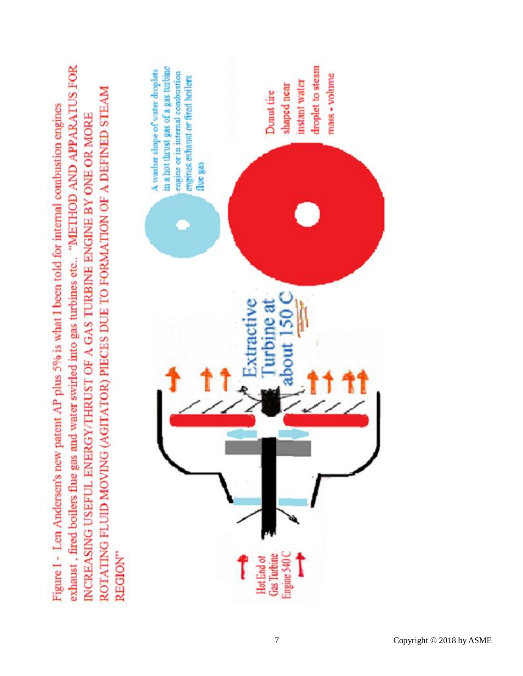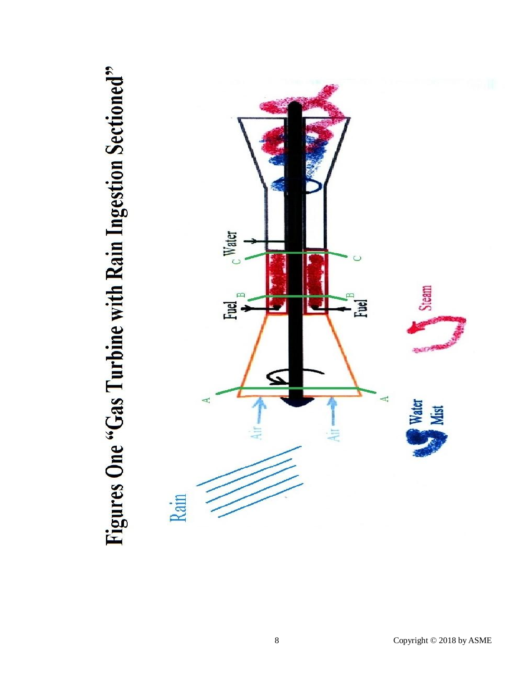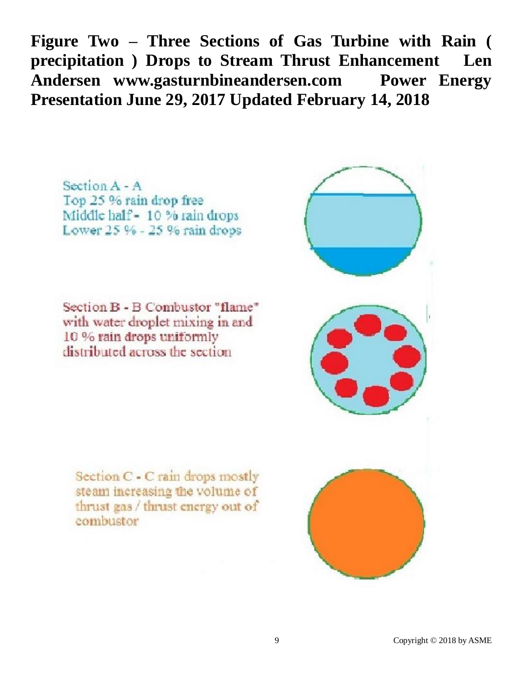**Figure Two – Three Sections of Gas Turbine with Rain ( precipitation ) Drops to Stream Thrust Enhancement Len Andersen www.gasturnbineandersen.com Power Energy Presentation June 29, 2017 Updated February 14, 2018**

Section  $A - A$ Top 25 % rain drop free Middle half - 10 % rain drops Lower 25 % - 25 % rain drops

Section B - B Combustor "flame" with water droplet mixing in and 10 % rain drops uniformly distributed across the section

Section C - C rain drops mostly steam increasing the volume of thrust gas / thrust energy out of combustor

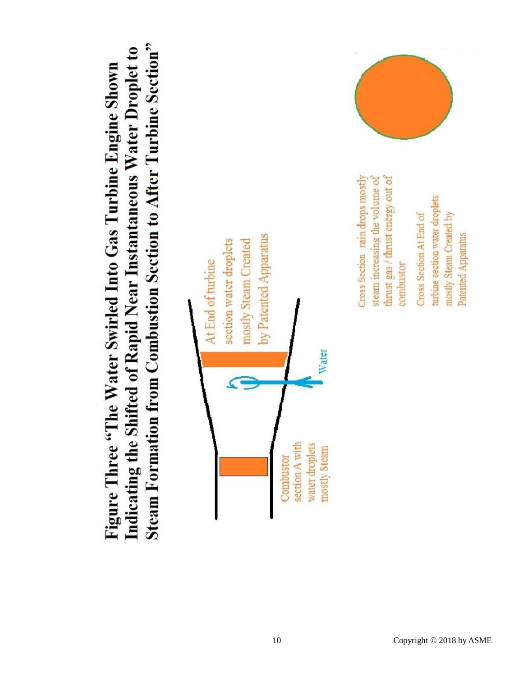**Steam Formation from Combustion Section to After Turbine Section"** Indicating the Shifted of Rapid Near Instantaneous Water Droplet to Figure Three "The Water Swirled Into Gas Turbine Engine Shown





Cross Section rain drops mostly

thrust gas / thrust energy out of steam increasing the volume of

combustor

turbine section water droplets mostly Steam Created by Cross Section At End of Patented Apparatus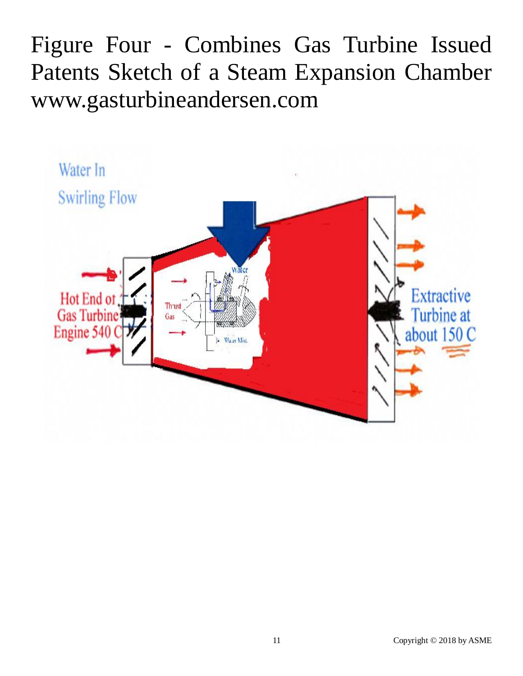Figure Four - Combines Gas Turbine Issued Patents Sketch of a Steam Expansion Chamber www.gasturbineandersen.com

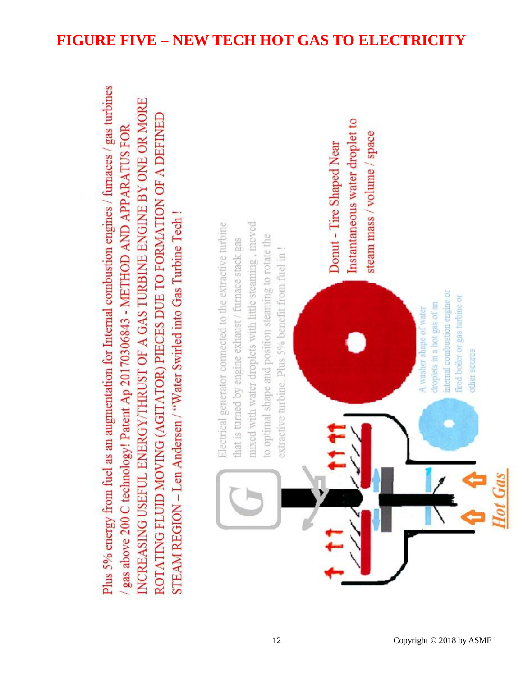# Plus 5% energy from fuel as an augmentation for Internal combustion engines / furnaces / gas turbines NCREASING USEFUL ENERGY/THRUST OF A GAS TURBINE ENGINE BY ONE OR MORE ROTATING FLUID MOVING (AGITATOR) PIECES DUE TO FORMATION OF A DEFINED gas above 200 C technology! Patent Ap 20170306843 - METHOD AND APPARATUS FOR STEAM REGION – Len Andersen / "Water Swirled into Gas Turbine Tech! mixed with water droplets with little steaming, moved Electrical generator connected to the extractive turbine to optimal shape and position steaming to rotate the that is turned by engine exhaust / furnace stack gas extractive turbine. Plus 5% benefit from fuel in !

Instantaneous water droplet to steam mass / volume / space Donut - Tire Shaped Near internal combustion engine or fired boiler or gas turbine or droplets in a hot gas of an A washer shape of water other source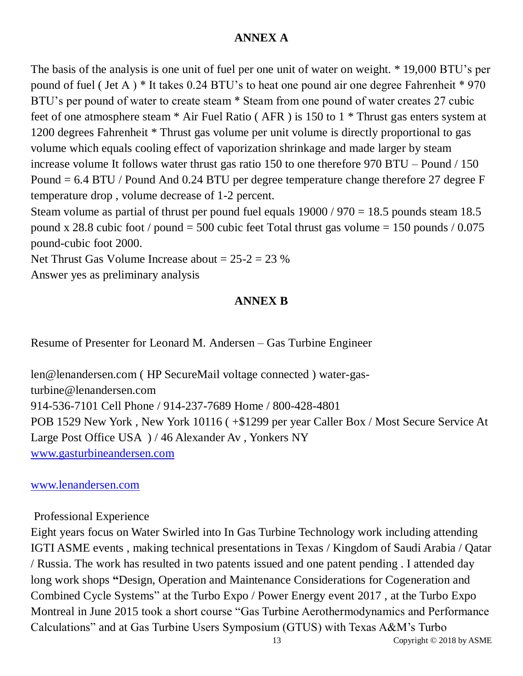## **ANNEX A**

The basis of the analysis is one unit of fuel per one unit of water on weight. \* 19,000 BTU's per pound of fuel ( Jet A ) \* It takes 0.24 BTU's to heat one pound air one degree Fahrenheit \* 970 BTU's per pound of water to create steam \* Steam from one pound of water creates 27 cubic feet of one atmosphere steam \* Air Fuel Ratio ( AFR ) is 150 to 1 \* Thrust gas enters system at 1200 degrees Fahrenheit \* Thrust gas volume per unit volume is directly proportional to gas volume which equals cooling effect of vaporization shrinkage and made larger by steam increase volume It follows water thrust gas ratio 150 to one therefore 970 BTU – Pound / 150 Pound = 6.4 BTU / Pound And 0.24 BTU per degree temperature change therefore 27 degree F temperature drop , volume decrease of 1-2 percent.

Steam volume as partial of thrust per pound fuel equals  $19000 / 970 = 18.5$  pounds steam 18.5 pound x 28.8 cubic foot / pound = 500 cubic feet Total thrust gas volume = 150 pounds / 0.075 pound-cubic foot 2000.

Net Thrust Gas Volume Increase about  $= 25-2 = 23$  % Answer yes as preliminary analysis

## **ANNEX B**

Resume of Presenter for Leonard M. Andersen – Gas Turbine Engineer

len@lenandersen.com ( HP SecureMail voltage connected ) water-gasturbine@lenandersen.com 914-536-7101 Cell Phone / 914-237-7689 Home / 800-428-4801 POB 1529 New York , New York 10116 ( +\$1299 per year Caller Box / Most Secure Service At Large Post Office USA ) / 46 Alexander Av , Yonkers NY [www.gasturbineandersen.com](http://www.gasturbineandersen.com/)

## [www.lenandersen.com](http://hostingemail.xo.com/hwebmail/services/go.php?url=www.lenandersen.com)

## Professional Experience

Eight years focus on Water Swirled into In Gas Turbine Technology work including attending IGTI ASME events , making technical presentations in Texas / Kingdom of Saudi Arabia / Qatar / Russia. The work has resulted in two patents issued and one patent pending . I attended day long work shops **"**Design, Operation and Maintenance Considerations for Cogeneration and Combined Cycle Systems" at the Turbo Expo / Power Energy event 2017 , at the Turbo Expo Montreal in June 2015 took a short course "Gas Turbine Aerothermodynamics and Performance Calculations" and at Gas Turbine Users Symposium (GTUS) with Texas A&M's Turbo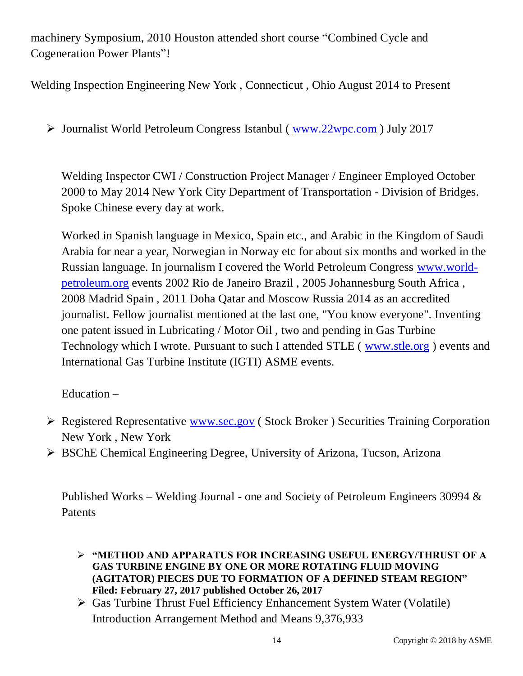machinery Symposium, 2010 Houston attended short course "Combined Cycle and Cogeneration Power Plants"!

Welding Inspection Engineering New York , Connecticut , Ohio August 2014 to Present

Journalist World Petroleum Congress Istanbul ( [www.22wpc.com](http://www.22wpc.com/) ) July 2017

Welding Inspector CWI / Construction Project Manager / Engineer Employed October 2000 to May 2014 New York City Department of Transportation - Division of Bridges. Spoke Chinese every day at work.

Worked in Spanish language in Mexico, Spain etc., and Arabic in the Kingdom of Saudi Arabia for near a year, Norwegian in Norway etc for about six months and worked in the Russian language. In journalism I covered the World Petroleum Congress [www.world](http://hostingemail.xo.com/hwebmail/services/go.php?url=www.world-petroleum.org)[petroleum.org](http://hostingemail.xo.com/hwebmail/services/go.php?url=www.world-petroleum.org) events 2002 Rio de Janeiro Brazil , 2005 Johannesburg South Africa , 2008 Madrid Spain , 2011 Doha Qatar and Moscow Russia 2014 as an accredited journalist. Fellow journalist mentioned at the last one, "You know everyone". Inventing one patent issued in Lubricating / Motor Oil , two and pending in Gas Turbine Technology which I wrote. Pursuant to such I attended STLE ( [www.stle.org](http://hostingemail.xo.com/hwebmail/services/go.php?url=www.stle.org) ) events and International Gas Turbine Institute (IGTI) ASME events.

Education –

- Registered Representative [www.sec.gov](http://hostingemail.xo.com/hwebmail/services/go.php?url=www.sec.gov) ( Stock Broker ) Securities Training Corporation New York , New York
- BSChE Chemical Engineering Degree, University of Arizona, Tucson, Arizona

Published Works – Welding Journal - one and Society of Petroleum Engineers 30994 & Patents

 **"METHOD AND APPARATUS FOR INCREASING USEFUL ENERGY/THRUST OF A GAS TURBINE ENGINE BY ONE OR MORE ROTATING FLUID MOVING (AGITATOR) PIECES DUE TO FORMATION OF A DEFINED STEAM REGION" Filed: February 27, 2017 published October 26, 2017**

 Gas Turbine Thrust Fuel Efficiency Enhancement System Water (Volatile) Introduction Arrangement Method and Means 9,376,933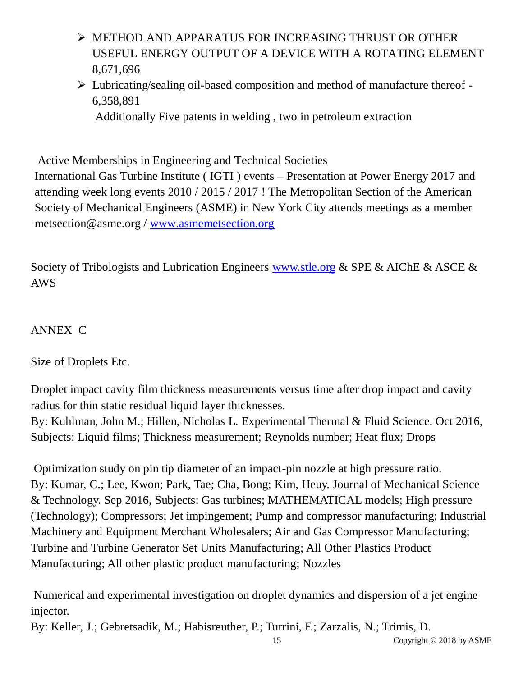- METHOD AND APPARATUS FOR INCREASING THRUST OR OTHER USEFUL ENERGY OUTPUT OF A DEVICE WITH A ROTATING ELEMENT 8,671,696
- Lubricating/sealing oil-based composition and method of manufacture thereof 6,358,891

Additionally Five patents in welding , two in petroleum extraction

Active Memberships in Engineering and Technical Societies

International Gas Turbine Institute ( IGTI ) events – Presentation at Power Energy 2017 and attending week long events 2010 / 2015 / 2017 ! The Metropolitan Section of the American Society of Mechanical Engineers (ASME) in New York City attends meetings as a member metsection@asme.org / [www.asmemetsection.org](http://hostingemail.xo.com/hwebmail/services/go.php?url=www.asmemetsection.org)

Society of Tribologists and Lubrication Engineers [www.stle.org](http://hostingemail.xo.com/hwebmail/services/go.php?url=www.stle.org) & SPE & AIChE & ASCE & AWS

# ANNEX C

Size of Droplets Etc.

Droplet impact cavity film thickness measurements versus time after drop impact and cavity radius for thin static residual liquid layer thicknesses.

By: Kuhlman, John M.; Hillen, Nicholas L. Experimental Thermal & Fluid Science. Oct 2016, Subjects: Liquid films; Thickness measurement; Reynolds number; Heat flux; Drops

Optimization study on pin tip diameter of an impact-pin nozzle at high pressure ratio. By: Kumar, C.; Lee, Kwon; Park, Tae; Cha, Bong; Kim, Heuy. Journal of Mechanical Science & Technology. Sep 2016, Subjects: Gas turbines; MATHEMATICAL models; High pressure (Technology); Compressors; Jet impingement; Pump and compressor manufacturing; Industrial Machinery and Equipment Merchant Wholesalers; Air and Gas Compressor Manufacturing; Turbine and Turbine Generator Set Units Manufacturing; All Other Plastics Product Manufacturing; All other plastic product manufacturing; Nozzles

Numerical and experimental investigation on droplet dynamics and dispersion of a jet engine injector.

By: Keller, J.; Gebretsadik, M.; Habisreuther, P.; Turrini, F.; Zarzalis, N.; Trimis, D.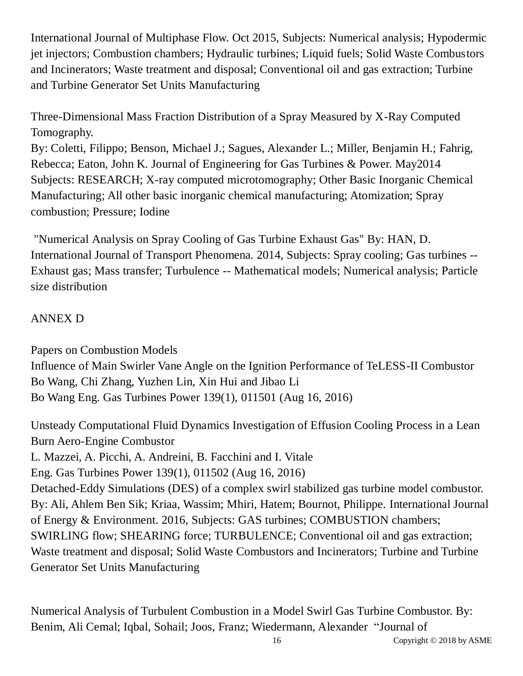International Journal of Multiphase Flow. Oct 2015, Subjects: Numerical analysis; Hypodermic jet injectors; Combustion chambers; Hydraulic turbines; Liquid fuels; Solid Waste Combustors and Incinerators; Waste treatment and disposal; Conventional oil and gas extraction; Turbine and Turbine Generator Set Units Manufacturing

Three-Dimensional Mass Fraction Distribution of a Spray Measured by X-Ray Computed Tomography.

By: Coletti, Filippo; Benson, Michael J.; Sagues, Alexander L.; Miller, Benjamin H.; Fahrig, Rebecca; Eaton, John K. Journal of Engineering for Gas Turbines & Power. May2014 Subjects: RESEARCH; X-ray computed microtomography; Other Basic Inorganic Chemical Manufacturing; All other basic inorganic chemical manufacturing; Atomization; Spray combustion; Pressure; Iodine

"Numerical Analysis on Spray Cooling of Gas Turbine Exhaust Gas" By: HAN, D. International Journal of Transport Phenomena. 2014, Subjects: Spray cooling; Gas turbines -- Exhaust gas; Mass transfer; Turbulence -- Mathematical models; Numerical analysis; Particle size distribution

# ANNEX D

Papers on Combustion Models Influence of Main Swirler Vane Angle on the Ignition Performance of TeLESS-II Combustor Bo Wang, Chi Zhang, Yuzhen Lin, Xin Hui and Jibao Li Bo Wang Eng. Gas Turbines Power 139(1), 011501 (Aug 16, 2016)

Unsteady Computational Fluid Dynamics Investigation of Effusion Cooling Process in a Lean Burn Aero-Engine Combustor L. Mazzei, A. Picchi, A. Andreini, B. Facchini and I. Vitale Eng. Gas Turbines Power 139(1), 011502 (Aug 16, 2016) Detached-Eddy Simulations (DES) of a complex swirl stabilized gas turbine model combustor. By: Ali, Ahlem Ben Sik; Kriaa, Wassim; Mhiri, Hatem; Bournot, Philippe. International Journal of Energy & Environment. 2016, Subjects: GAS turbines; COMBUSTION chambers; SWIRLING flow; SHEARING force; TURBULENCE; Conventional oil and gas extraction; Waste treatment and disposal; Solid Waste Combustors and Incinerators; Turbine and Turbine Generator Set Units Manufacturing

Numerical Analysis of Turbulent Combustion in a Model Swirl Gas Turbine Combustor. By: Benim, Ali Cemal; Iqbal, Sohail; Joos, Franz; Wiedermann, Alexander "Journal of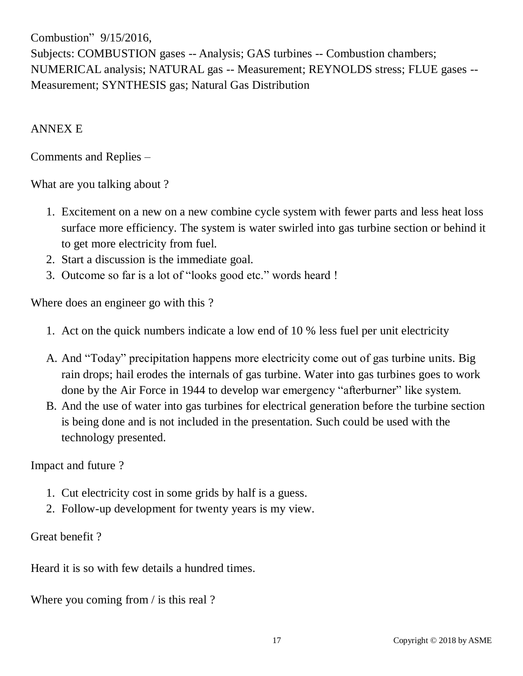Combustion" 9/15/2016, Subjects: COMBUSTION gases -- Analysis; GAS turbines -- Combustion chambers; NUMERICAL analysis; NATURAL gas -- Measurement; REYNOLDS stress; FLUE gases -- Measurement; SYNTHESIS gas; Natural Gas Distribution

## ANNEX E

Comments and Replies –

What are you talking about ?

- 1. Excitement on a new on a new combine cycle system with fewer parts and less heat loss surface more efficiency. The system is water swirled into gas turbine section or behind it to get more electricity from fuel.
- 2. Start a discussion is the immediate goal.
- 3. Outcome so far is a lot of "looks good etc." words heard !

Where does an engineer go with this ?

- 1. Act on the quick numbers indicate a low end of 10 % less fuel per unit electricity
- A. And "Today" precipitation happens more electricity come out of gas turbine units. Big rain drops; hail erodes the internals of gas turbine. Water into gas turbines goes to work done by the Air Force in 1944 to develop war emergency "afterburner" like system.
- B. And the use of water into gas turbines for electrical generation before the turbine section is being done and is not included in the presentation. Such could be used with the technology presented.

Impact and future ?

- 1. Cut electricity cost in some grids by half is a guess.
- 2. Follow-up development for twenty years is my view.

Great benefit ?

Heard it is so with few details a hundred times.

Where you coming from / is this real ?